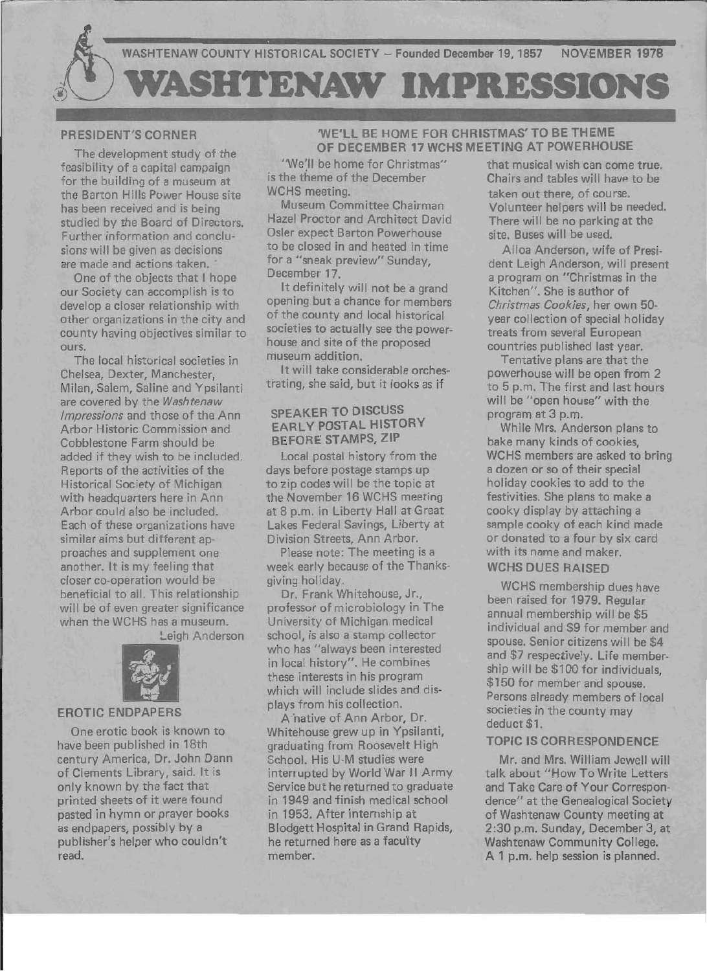

## PRESIDENT'S CORNER

The development study of the feasibility of a capital campaign for the building of a museum at the Barton Hills Power House site has been received and is being studied by the Board of Directors. Further information and conclusions will be given as decisions are made and actions taken.

One of the objects that I hope our Society can accomplish is to develop a closer relationship with other organizations in the city and county having objectives similar to ours.

The local historical societies in Chelsea, Dexter, Manchester, Milan, Salem, Saline and Ypsilanti are covered by the *Washtenaw Impressions* and those of the Ann Arbor Historic Commission and Cobblestone Farm should be added if they wish to be included. Reports of the activities of the Historical Society of Michigan with headquarters here in Ann Arbor could also be included. Each of these organizations have similar aims but different approaches and supplement one another. It is my feeling that closer co-operation would be beneficial to all. This relationship will be of even greater significance when the WCHS has a museum. Leigh Anderson



### **EROTIC ENDPAPERS**

One erotic book is known to have been published in 18th century America, Dr. John Dann of Clements Library, said. It is only known by the fact that printed sheets of it were found pasted in hymn or prayer books as endpapers, possibly by a publisher's helper who couldn't read.

## 'WE'LL BE HOME FOR CHRISTMAS' TO BE THEME OF DECEMBER 17 WCHS MEETING AT POWERHOUSE

"We'll be home for Christmas" is the *theme* of the December WCHS meeting.

Museum Committee Chairman Hazel Proctor and Architect David Osler expect Barton Powerhouse to be closed in and heated in time for a "sneak preview" Sunday, December 17.

It definitely will not be a grand opening but a chance for members of the county and local historical societies to actually see the powerhouse and site of the proposed museum addition.

It will take considerable orchestrating, she said, but it looks as if

## SPEAKER TO DISCUSS EARLY POSTAL HISTORY BEFORE STAMPS, ZIP

Local postal history from the days before postage stamps up to zip codes will be the topic at the November 16 WCHS meeting at 8 p.m. in Liberty Hall at Great Lakes Federal Savings, Liberty at Division Streets, Ann Arbor.

Please note: The meeting is a week early because of the Thanksgiving holiday.

Dr. Frank Whitehouse, Jr., professor of microbiology in The University of Michigan medical school, is also a stamp collector who has "always been interested in local history". He combines these interests in his program which will include slides and displays from his collection.

A'native of Ann Arbor, Dr. Whitehouse grew up in Ypsilanti, graduating from Roosevelt High School. His U-M studies were interrupted by World War II Army Service but he returned to graduate in 1949 and finish medical school in 1953. After internship at Blodgett Hospital in Grand Rapids, he returned here as a faculty member.

that musical wish can come true. Chairs and tables will have to be taken out there, of course. Volunteer helpers will be needed. There will be no parking at the site. Buses will be used.

Alloa Anderson, wife of President Leigh Anderson, will present a program on "Christmas in the Kitchen". She is author of *Christmas Cookies,* her own 50 year collection of special holiday treats from several European countries published last year.

Tentative plans are that the powerhouse will be open from 2 to 5 p.m. The first and last hours will be "open house" with the program at 3 p.m.

While Mrs. Anderson plans to bake many kinds of cookies, WCHS members are asked to bring a dozen or so of their special holiday cookies to add to the festivities. She plans to make a cooky display by attaching a sample cooky of each kind made or donated to a four by six card with its name and maker.

WCHS DUES RAISED

WCHS membership dues have been raised for 1979. Regular annual membership will be \$5 individual and \$9 for member and spouse. Senior citizens will be \$4 and \$7 respectively. Life membership will be \$100 for individuals, \$150 for member and spouse. Persons already members of local societies in the county may deduct \$1.

#### TOPIC IS CORRESPONDENCE

Mr. and Mrs. William Jewell will talk about "How To Write Letters and Take Care of Your Correspondence" at the Genealogical Society of Washtenaw County meeting at 2:30 p.m. Sunday, December 3, at Washtenaw Community College. A 1 p.m. help session is planned.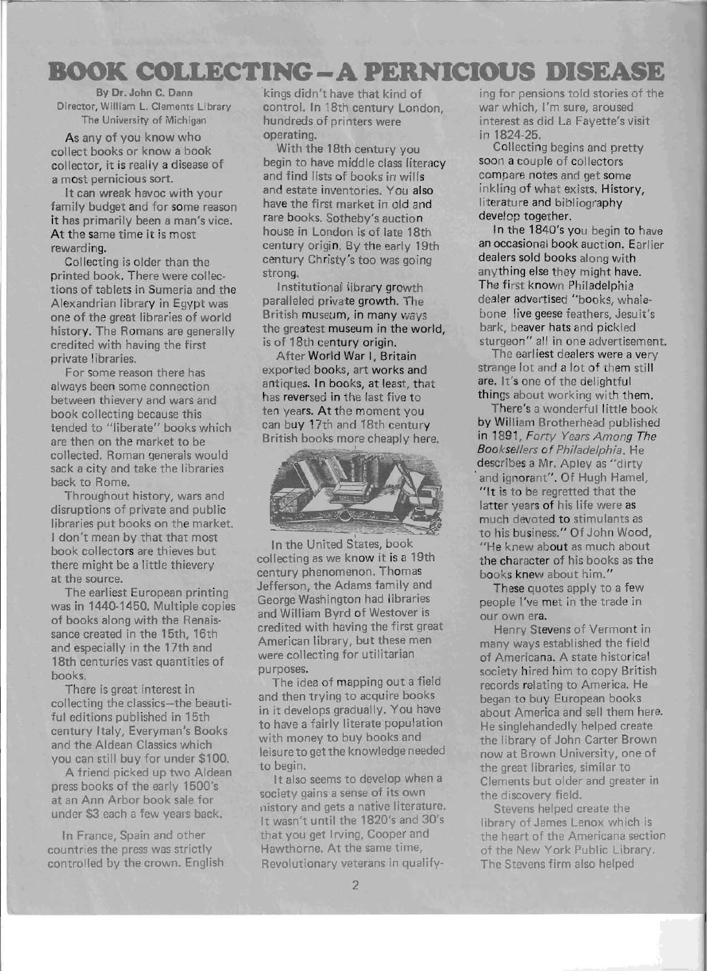# **BOOK COLLECTING-A PERNICIOUS DISEASE**

**By Dr. John C. Dann**  Director, William L. Clements Library The University of Michigan

As any of you know who collect books or know a book collector, it is really a disease of a most pernicious sort.

It can wreak havoc with your family budget and for some reason it has primarily been a man's vice. At the same time it is most rewarding.

Collecting is older than the printed book. There were collections of tablets in Sumeria and the Alexandrian library in Egypt was one of the great libraries of world history. The Romans are generally credited with having the first private libraries.

For some reason there has always been some connection between thievery and wars and book collecting because this tended to "liberate" books which are then on the market to be collected. Roman generals would sack a city and take the libraries back to Rome.

Throughout history, wars and disruptions of private and public libraries put books on the market. I don't mean by that that most book collectors are thieves but there might be a little thievery at the source.

The earliest European printing was in 1440-1450. Multiple copies of books along with the Renaissance created in the 15th, 16th and especially in the 17th and 18th centuries vast quantities of books.

There is great interest in collecting the classics-the beautiful editions published in 15th century Italy, Everyman's Books and the Aldean Classics which you can still buy for under \$100.

A friend picked up two Aldean press books of the early 1500's at an Ann Arbor book sale for under \$3 each a few years back.

In France, Spain and other countries the press was strictly controlled by the crown. English 'kings didn't have that kind of control. In 18th century London, hundreds of printers were operating.

With the 18th century you begin to have middle class literacy and find lists of books in wills and estate inventories. You also have the first market in old and rare books. Sotheby's auction house in London is of late 18th century origin. By the early 19th century Christy's too was going strong.

Institutional library growth paralleled private growth. The British museum, in many ways the greatest museum in the world, is of 18th century origin.

After World War I, Britain exported books, art works and antiques. In books, at least, that has reversed in the last five to ten years. At the moment you can buy 17th and 18th century British books more cheaply here.



In the United States, book collecting as we know it is a 19th century phenomenon. Thomas Jefferson, the Adams family and George Washington had libraries and William Byrd of Westover is credited with having the first great American library, but these men were collecting for utilitarian purposes.

The idea of mapping out a field and then trying to acquire books in it develops gradually. You have to have a fairly literate population with money to buy books and leisure to get the knowledge needed to begin.

It also seems to develop when a society gains a sense of its own nistory and gets a native literature. It wasn't until the 1820's and 30's that you get Irving, Cooper and Hawthorne. At the same time, Revolutionary veterans in qualifying for pensions told stories of the war which, I'm sure, aroused interest as did La Fayette's visit in 1824-25.

Collecting begins and pretty soon a couple of collectors compare notes and get some inkling of what exists. History, literature and bibliography develop together.

In the 1840's you begin to have an occasional book auction. Earlier dealers sold books along with anything else they might have. The first known Philadelphia dealer advertised "books, whalebone, live geese feathers, Jesuit's bark, beaver hats and pickled sturgeon" all in one advertisement.

The earliest dealers were a very strange lot and a lot of them still are. It's one of the delightful things about working with them.

There's a wonderful little book by William Brotherhead published in 1891, Forty Years Among The Booksellers of Philadelphia. He describes a Mr. Apley as "dirty . and ignorant". Of Hugh Hamel, "It is to be regretted that the latter years of his life were as much devoted to stimulants as to his business." Of John Wood, "He knew about as much about the character of his books as the books knew about him."

These quotes apply to a few people I've met in the trade in our own era.

Henry Stevens of Vermont in many ways established the field of Americana. A state historical society hired him to copy British records relating to America. He began to buy European books about America and sell them here. He singlehandedly helped create the library of John Carter Brown now at Brown University, one of the great libraries, similar to Clements but older and greater in the discovery field.

Stevens helped create the library of James Lenox which is the heart of the Americana section of the New York Public Library. The Stevens firm also helped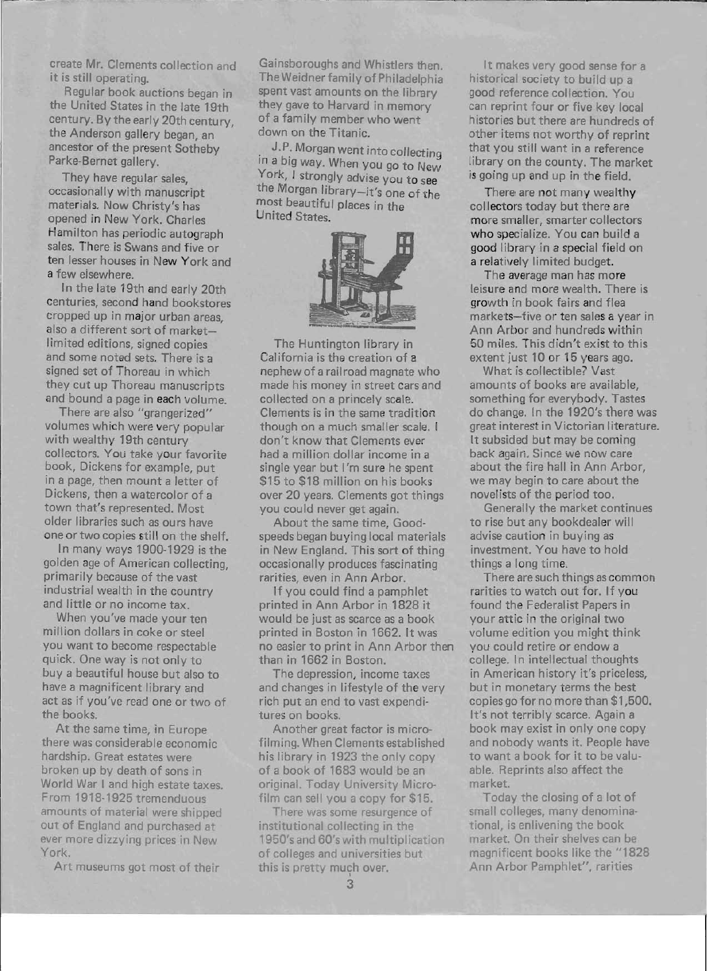create Mr. Clements collection and it is still operating.

..-- -~----- -~- - - - --------

Regular book auctions began in the United States in the late 19th century. By the early 20th century, the Anderson gallery began, an ancestor of the present Sotheby Parke-Bernet gallery.

They have regular sales, occasionally with manuscript materials. Now Christy's has opened in New York. Charles Hamilton has periodic autograph sales. There is Swans and five or ten lesser houses in New York and a few elsewhere.

In the late 19th and early 20th centuries, second hand bookstores cropped up in major urban areas, also a different sort of marketlimited editions, signed copies and some noted sets. There is a signed set of Thoreau in which they cut up Thoreau manuscripts and bound a page in each volume.

There are also "grangerized" volumes which were very popular with wealthy 19th century collectors. You take your favorite book, Dickens for example, put in a page, then mount a letter of Dickens, then a watercolor of a town that's represented. Most older libraries such as ours have one or two copies still on the shelf.

In many ways 1900-1929 is the golden age of American collecting, primarily because of the vast industrial wealth in the country and little or no income tax.

When you've made your ten million dollars in coke or steel you want to become respectable quick. One way is not only to buy a beautiful house but also to have a magnificent library and act as if you've read one or two of the books.

At the same time, in Europe there was considerable economic hardship. Great estates were broken up by death of sons in World War I and high estate taxes. From 1918-1925 tremenduous amounts of material were shipped out of England and purchased at ever more dizzying prices in New York.

Art museums got most of their

Gainsboroughs and Whistlers then. The Weidner family of Philadelphia spent vast amounts on the library they gave to Harvard in memory of a family member who went down on the Titanic.

J.P. Morgan went into collecting in a big way. When you go to New York, I strongly advise you to see the Morgan library-it's one of the most beautiful places in the United States.



The Huntington library in California is the creation of a nephew of a railroad magnate who made his money in street cars and collected on a princely scale. Clements is in the same tradition though on a much smaller scale. I don't know that Clements ever had a million dollar income in a single year but I'm sure he spent \$15 to \$18 million on his books over 20 years. Clements got things you could never get again.

About the same time, Goodspeeds began buying local materials in New England. This sort of thing occasionally produces fascinating rarities, even in Ann Arbor.

If you could find a pamphlet printed in Ann Arbor in 1828 it would be just as scarce as a book printed in Boston in 1662. It was no easier to print in Ann Arbor then than in 1662 in Boston.

The depression, income taxes and changes in lifestyle of the very rich put an end to vast expenditures on books.

Another great factor is microfilming. When Clements established his library in 1923 the only copy of a book of 1683 would be an original. Today University Microfilm can sell you a copy for \$15.

There was some resurgence of institutional collecting in the 1950's and 60's with multiplication of colleges and universities but this is pretty much over.

It makes very good sense for a historical society to build up a good reference collection. You can reprint four or five key local histories but there are hundreds of other items not worthy of reprint that you still want in a reference library on the county. The market is going up and up in the field.

There are not many wealthy collectors today but there are more smaller, smarter collectors who specialize. You can build a good library in a special field on a relatively limited budget.

The average man has more leisure and more wealth. There is growth in book fairs and flea markets-five or ten sales a year in Ann Arbor and hundreds within 50 miles. This didn't exist to this extent just 10 or 15 years ago.

What is collectible? Vast amounts of books are available, something for everybody. Tastes do change. In the 1920's there was great interest in Victorian literature. It subsided but may be coming back again. Since we now care about the fire hall in Ann Arbor, we may begin to care about the novelists of the period too.

Generally the market continues to rise but any bookdealer will advise caution in buying as investment. You have to hold things a long time.

There are such things as common rarities to watch out for. If you found the Federalist Papers in your attic in the original two volume edition you might think you could retire or endow a college. In intellectual thoughts in American history it's priceless, but in monetary terms the best copies go for no more than \$1,500. It's not terribly scarce. Again a book may exist in only one copy and nobody wants it. People have to want a book for it to be valuable. Reprints also affect the market.

Today the closing of a lot of small colleges, many denominational, is enlivening the book market. On their shelves can be magnificent books like the "1828 Ann Arbor Pamphlet", rarities